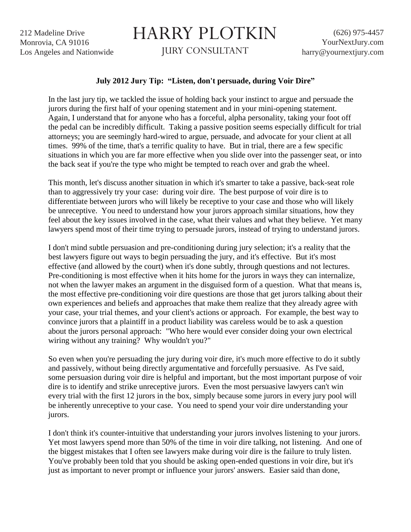212 Madeline Drive Monrovia, CA 91016 Los Angeles and Nationwide

## HARRY PLOTKIN

JURY CONSULTANT

## **July 2012 Jury Tip: "Listen, don't persuade, during Voir Dire"**

In the last jury tip, we tackled the issue of holding back your instinct to argue and persuade the jurors during the first half of your opening statement and in your mini-opening statement. Again, I understand that for anyone who has a forceful, alpha personality, taking your foot off the pedal can be incredibly difficult. Taking a passive position seems especially difficult for trial attorneys; you are seemingly hard-wired to argue, persuade, and advocate for your client at all times. 99% of the time, that's a terrific quality to have. But in trial, there are a few specific situations in which you are far more effective when you slide over into the passenger seat, or into the back seat if you're the type who might be tempted to reach over and grab the wheel.

This month, let's discuss another situation in which it's smarter to take a passive, back-seat role than to aggressively try your case: during voir dire. The best purpose of voir dire is to differentiate between jurors who will likely be receptive to your case and those who will likely be unreceptive. You need to understand how your jurors approach similar situations, how they feel about the key issues involved in the case, what their values and what they believe. Yet many lawyers spend most of their time trying to persuade jurors, instead of trying to understand jurors.

I don't mind subtle persuasion and pre-conditioning during jury selection; it's a reality that the best lawyers figure out ways to begin persuading the jury, and it's effective. But it's most effective (and allowed by the court) when it's done subtly, through questions and not lectures. Pre-conditioning is most effective when it hits home for the jurors in ways they can internalize, not when the lawyer makes an argument in the disguised form of a question. What that means is, the most effective pre-conditioning voir dire questions are those that get jurors talking about their own experiences and beliefs and approaches that make them realize that they already agree with your case, your trial themes, and your client's actions or approach. For example, the best way to convince jurors that a plaintiff in a product liability was careless would be to ask a question about the jurors personal approach: "Who here would ever consider doing your own electrical wiring without any training? Why wouldn't you?"

So even when you're persuading the jury during voir dire, it's much more effective to do it subtly and passively, without being directly argumentative and forcefully persuasive. As I've said, some persuasion during voir dire is helpful and important, but the most important purpose of voir dire is to identify and strike unreceptive jurors. Even the most persuasive lawyers can't win every trial with the first 12 jurors in the box, simply because some jurors in every jury pool will be inherently unreceptive to your case. You need to spend your voir dire understanding your jurors.

I don't think it's counter-intuitive that understanding your jurors involves listening to your jurors. Yet most lawyers spend more than 50% of the time in voir dire talking, not listening. And one of the biggest mistakes that I often see lawyers make during voir dire is the failure to truly listen. You've probably been told that you should be asking open-ended questions in voir dire, but it's just as important to never prompt or influence your jurors' answers. Easier said than done,